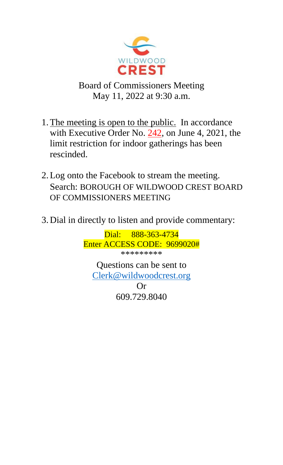

Board of Commissioners Meeting May 11, 2022 at 9:30 a.m.

- 1.The meeting is open to the public. In accordance with Executive Order No. 242, on June 4, 2021, the limit restriction for indoor gatherings has been rescinded.
- 2.Log onto the Facebook to stream the meeting. Search: BOROUGH OF WILDWOOD CREST BOARD OF COMMISSIONERS MEETING
- 3. Dial in directly to listen and provide commentary:

Dial: 888-363-4734 Enter ACCESS CODE: 9699020# \*\*\*\*\*\*\*\*\*

Questions can be sent to [Clerk@wildwoodcrest.org](mailto:Clerk@wildwoodcrest.org)

Or 609.729.8040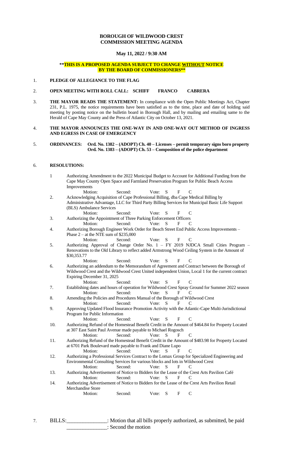## **BOROUGH OF WILDWOOD CREST COMMISSION MEETING AGENDA**

## **May 11, 2022 / 9:30 AM**

### **\*\*THIS IS A PROPOSED AGENDA SUBJECT TO CHANGE WITHOUT NOTICE BY THE BOARD OF COMMISSIONERS\*\***

### 1. **PLEDGE OF ALLEGIANCE TO THE FLAG**

#### 2. **OPEN MEETING WITH ROLL CALL: SCHIFF FRANCO CABRERA**

3. **THE MAYOR READS THE STATEMENT:** In compliance with the Open Public Meetings Act, Chapter 231, P.L. 1975, the notice requirements have been satisfied as to the time, place and date of holding said meeting by posting notice on the bulletin board in Borough Hall, and by mailing and emailing same to the Herald of Cape May County and the Press of Atlantic City on October 13, 2021.

#### 4. **THE MAYOR ANNOUNCES THE ONE-WAY IN AND ONE-WAY OUT METHOD OF INGRESS AND EGRESS IN CASE OF EMERGENCY**

#### 5. **ORDINANCES: Ord. No. 1382 – (ADOPT) Ch. 40 – Licenses – permit temporary signs boro property Ord. No. 1383 – (ADOPT) Ch. 53 – Composition of the police department**

#### 6. **RESOLUTIONS:**

| Second:<br>S<br>Motion:<br>Vote:<br>F<br>C<br>Acknowledging Acquisition of Cape Professional Billing, dba Cape Medical Billing by<br>Administrative Advantage, LLC for Third Party Billing Services for Municipal Basic Life Support<br>(BLS) Ambulance Services<br>Motion:<br>Second:<br>Vote:<br>S<br>F<br>C<br>3.<br>Authorizing the Appointment of Three Parking Enforcement Officers<br>Motion:<br>Second:<br>Vote:<br>S<br>F<br>C<br>Authorizing Borough Engineer Work Order for Beach Street End Public Access Improvements -<br>4.<br>Phase $2 - at$ the NTE sum of \$235,000<br>S<br>Motion:<br>Second:<br>Vote:<br>F<br>C<br>Authorizing Approval of Change Order No. 1 - FY 2019 NJDCA Small Cities Program -<br>5.<br>Renovations to the Old Library to reflect added Armstrong Wood Ceiling System in the Amount of<br>\$30,353.77<br>S<br>Motion:<br>Second:<br>Vote:<br>F<br>C<br>Authorizing an addendum to the Memorandum of Agreement and Contract between the Borough of<br>6.<br>Wildwood Crest and the Wildwood Crest United independent Union, Local 1 for the current contract<br>Expiring December 31, 2025<br>Motion:<br>Second:<br>Vote:<br>S<br>F<br>C<br>Establishing dates and hours of operation for Wildwood Crest Spray Ground for Summer 2022 season<br>7.<br>Second:<br>Vote:<br>Motion:<br>S<br>F<br>C<br>Amending the Policies and Procedures Manual of the Borough of Wildwood Crest<br>8.<br>Vote:<br>Second:<br>S<br>F<br>Motion:<br>C<br>Approving Updated Flood Insurance Promotion Activity with the Atlantic-Cape Multi-Jurisdictional<br>9.<br>Program for Public Information<br>${\bf S}$<br>$\mathbf C$<br>Motion:<br>Second:<br>Vote:<br>F<br>Authorizing Refund of the Homestead Benefit Credit in the Amount of \$464.84 for Property Located<br>10.<br>at 307 East Saint Paul Avenue made payable to Michael Rogosch<br>Motion:<br>Second:<br>Vote:<br>S<br>$\mathbf F$<br>$\mathsf{C}$<br>Authorizing Refund of the Homestead Benefit Credit in the Amount of \$483.98 for Property Located<br>11.<br>at 6701 Park Boulevard made payable to Frank and Diane Lupo<br>Second:<br>Motion:<br>Vote:<br>S<br>F<br>C<br>Authorizing a Professional Services Contract to the Lomax Group for Specialized Engineering and<br>12.<br>Environmental Consulting Services for various blocks and lots in Wildwood Crest<br>S<br>F<br>Motion:<br>Second:<br>Vote:<br>$\mathcal{C}$<br>Authorizing Advertisement of Notice to Bidders for the Lease of the Crest Arts Pavilion Café<br>13.<br>Motion:<br>Second:<br>Vote:<br>${\bf S}$<br>F<br>C<br>Authorizing Advertisement of Notice to Bidders for the Lease of the Crest Arts Pavilion Retail<br>14.<br>Merchandise Store<br>${\bf S}$<br>$\mathcal{C}$<br>F<br>Motion:<br>Second:<br>Vote: | $\,1\,$ | Cape May County Open Space and Farmland Preservation Program for Public Beach Access<br>Improvements |  |  |  |  | Authorizing Amendment to the 2022 Municipal Budget to Account for Additional Funding from the |
|----------------------------------------------------------------------------------------------------------------------------------------------------------------------------------------------------------------------------------------------------------------------------------------------------------------------------------------------------------------------------------------------------------------------------------------------------------------------------------------------------------------------------------------------------------------------------------------------------------------------------------------------------------------------------------------------------------------------------------------------------------------------------------------------------------------------------------------------------------------------------------------------------------------------------------------------------------------------------------------------------------------------------------------------------------------------------------------------------------------------------------------------------------------------------------------------------------------------------------------------------------------------------------------------------------------------------------------------------------------------------------------------------------------------------------------------------------------------------------------------------------------------------------------------------------------------------------------------------------------------------------------------------------------------------------------------------------------------------------------------------------------------------------------------------------------------------------------------------------------------------------------------------------------------------------------------------------------------------------------------------------------------------------------------------------------------------------------------------------------------------------------------------------------------------------------------------------------------------------------------------------------------------------------------------------------------------------------------------------------------------------------------------------------------------------------------------------------------------------------------------------------------------------------------------------------------------------------------------------------------------------------------------------------------------------------------------------------------------------------------------------------------------------------|---------|------------------------------------------------------------------------------------------------------|--|--|--|--|-----------------------------------------------------------------------------------------------|
|                                                                                                                                                                                                                                                                                                                                                                                                                                                                                                                                                                                                                                                                                                                                                                                                                                                                                                                                                                                                                                                                                                                                                                                                                                                                                                                                                                                                                                                                                                                                                                                                                                                                                                                                                                                                                                                                                                                                                                                                                                                                                                                                                                                                                                                                                                                                                                                                                                                                                                                                                                                                                                                                                                                                                                                        |         |                                                                                                      |  |  |  |  |                                                                                               |
|                                                                                                                                                                                                                                                                                                                                                                                                                                                                                                                                                                                                                                                                                                                                                                                                                                                                                                                                                                                                                                                                                                                                                                                                                                                                                                                                                                                                                                                                                                                                                                                                                                                                                                                                                                                                                                                                                                                                                                                                                                                                                                                                                                                                                                                                                                                                                                                                                                                                                                                                                                                                                                                                                                                                                                                        | 2.      |                                                                                                      |  |  |  |  |                                                                                               |
|                                                                                                                                                                                                                                                                                                                                                                                                                                                                                                                                                                                                                                                                                                                                                                                                                                                                                                                                                                                                                                                                                                                                                                                                                                                                                                                                                                                                                                                                                                                                                                                                                                                                                                                                                                                                                                                                                                                                                                                                                                                                                                                                                                                                                                                                                                                                                                                                                                                                                                                                                                                                                                                                                                                                                                                        |         |                                                                                                      |  |  |  |  |                                                                                               |
|                                                                                                                                                                                                                                                                                                                                                                                                                                                                                                                                                                                                                                                                                                                                                                                                                                                                                                                                                                                                                                                                                                                                                                                                                                                                                                                                                                                                                                                                                                                                                                                                                                                                                                                                                                                                                                                                                                                                                                                                                                                                                                                                                                                                                                                                                                                                                                                                                                                                                                                                                                                                                                                                                                                                                                                        |         |                                                                                                      |  |  |  |  |                                                                                               |
|                                                                                                                                                                                                                                                                                                                                                                                                                                                                                                                                                                                                                                                                                                                                                                                                                                                                                                                                                                                                                                                                                                                                                                                                                                                                                                                                                                                                                                                                                                                                                                                                                                                                                                                                                                                                                                                                                                                                                                                                                                                                                                                                                                                                                                                                                                                                                                                                                                                                                                                                                                                                                                                                                                                                                                                        |         |                                                                                                      |  |  |  |  |                                                                                               |
|                                                                                                                                                                                                                                                                                                                                                                                                                                                                                                                                                                                                                                                                                                                                                                                                                                                                                                                                                                                                                                                                                                                                                                                                                                                                                                                                                                                                                                                                                                                                                                                                                                                                                                                                                                                                                                                                                                                                                                                                                                                                                                                                                                                                                                                                                                                                                                                                                                                                                                                                                                                                                                                                                                                                                                                        |         |                                                                                                      |  |  |  |  |                                                                                               |
|                                                                                                                                                                                                                                                                                                                                                                                                                                                                                                                                                                                                                                                                                                                                                                                                                                                                                                                                                                                                                                                                                                                                                                                                                                                                                                                                                                                                                                                                                                                                                                                                                                                                                                                                                                                                                                                                                                                                                                                                                                                                                                                                                                                                                                                                                                                                                                                                                                                                                                                                                                                                                                                                                                                                                                                        |         |                                                                                                      |  |  |  |  |                                                                                               |
|                                                                                                                                                                                                                                                                                                                                                                                                                                                                                                                                                                                                                                                                                                                                                                                                                                                                                                                                                                                                                                                                                                                                                                                                                                                                                                                                                                                                                                                                                                                                                                                                                                                                                                                                                                                                                                                                                                                                                                                                                                                                                                                                                                                                                                                                                                                                                                                                                                                                                                                                                                                                                                                                                                                                                                                        |         |                                                                                                      |  |  |  |  |                                                                                               |
|                                                                                                                                                                                                                                                                                                                                                                                                                                                                                                                                                                                                                                                                                                                                                                                                                                                                                                                                                                                                                                                                                                                                                                                                                                                                                                                                                                                                                                                                                                                                                                                                                                                                                                                                                                                                                                                                                                                                                                                                                                                                                                                                                                                                                                                                                                                                                                                                                                                                                                                                                                                                                                                                                                                                                                                        |         |                                                                                                      |  |  |  |  |                                                                                               |
|                                                                                                                                                                                                                                                                                                                                                                                                                                                                                                                                                                                                                                                                                                                                                                                                                                                                                                                                                                                                                                                                                                                                                                                                                                                                                                                                                                                                                                                                                                                                                                                                                                                                                                                                                                                                                                                                                                                                                                                                                                                                                                                                                                                                                                                                                                                                                                                                                                                                                                                                                                                                                                                                                                                                                                                        |         |                                                                                                      |  |  |  |  |                                                                                               |
|                                                                                                                                                                                                                                                                                                                                                                                                                                                                                                                                                                                                                                                                                                                                                                                                                                                                                                                                                                                                                                                                                                                                                                                                                                                                                                                                                                                                                                                                                                                                                                                                                                                                                                                                                                                                                                                                                                                                                                                                                                                                                                                                                                                                                                                                                                                                                                                                                                                                                                                                                                                                                                                                                                                                                                                        |         |                                                                                                      |  |  |  |  |                                                                                               |
|                                                                                                                                                                                                                                                                                                                                                                                                                                                                                                                                                                                                                                                                                                                                                                                                                                                                                                                                                                                                                                                                                                                                                                                                                                                                                                                                                                                                                                                                                                                                                                                                                                                                                                                                                                                                                                                                                                                                                                                                                                                                                                                                                                                                                                                                                                                                                                                                                                                                                                                                                                                                                                                                                                                                                                                        |         |                                                                                                      |  |  |  |  |                                                                                               |
|                                                                                                                                                                                                                                                                                                                                                                                                                                                                                                                                                                                                                                                                                                                                                                                                                                                                                                                                                                                                                                                                                                                                                                                                                                                                                                                                                                                                                                                                                                                                                                                                                                                                                                                                                                                                                                                                                                                                                                                                                                                                                                                                                                                                                                                                                                                                                                                                                                                                                                                                                                                                                                                                                                                                                                                        |         |                                                                                                      |  |  |  |  |                                                                                               |
|                                                                                                                                                                                                                                                                                                                                                                                                                                                                                                                                                                                                                                                                                                                                                                                                                                                                                                                                                                                                                                                                                                                                                                                                                                                                                                                                                                                                                                                                                                                                                                                                                                                                                                                                                                                                                                                                                                                                                                                                                                                                                                                                                                                                                                                                                                                                                                                                                                                                                                                                                                                                                                                                                                                                                                                        |         |                                                                                                      |  |  |  |  |                                                                                               |
|                                                                                                                                                                                                                                                                                                                                                                                                                                                                                                                                                                                                                                                                                                                                                                                                                                                                                                                                                                                                                                                                                                                                                                                                                                                                                                                                                                                                                                                                                                                                                                                                                                                                                                                                                                                                                                                                                                                                                                                                                                                                                                                                                                                                                                                                                                                                                                                                                                                                                                                                                                                                                                                                                                                                                                                        |         |                                                                                                      |  |  |  |  |                                                                                               |
|                                                                                                                                                                                                                                                                                                                                                                                                                                                                                                                                                                                                                                                                                                                                                                                                                                                                                                                                                                                                                                                                                                                                                                                                                                                                                                                                                                                                                                                                                                                                                                                                                                                                                                                                                                                                                                                                                                                                                                                                                                                                                                                                                                                                                                                                                                                                                                                                                                                                                                                                                                                                                                                                                                                                                                                        |         |                                                                                                      |  |  |  |  |                                                                                               |
|                                                                                                                                                                                                                                                                                                                                                                                                                                                                                                                                                                                                                                                                                                                                                                                                                                                                                                                                                                                                                                                                                                                                                                                                                                                                                                                                                                                                                                                                                                                                                                                                                                                                                                                                                                                                                                                                                                                                                                                                                                                                                                                                                                                                                                                                                                                                                                                                                                                                                                                                                                                                                                                                                                                                                                                        |         |                                                                                                      |  |  |  |  |                                                                                               |
|                                                                                                                                                                                                                                                                                                                                                                                                                                                                                                                                                                                                                                                                                                                                                                                                                                                                                                                                                                                                                                                                                                                                                                                                                                                                                                                                                                                                                                                                                                                                                                                                                                                                                                                                                                                                                                                                                                                                                                                                                                                                                                                                                                                                                                                                                                                                                                                                                                                                                                                                                                                                                                                                                                                                                                                        |         |                                                                                                      |  |  |  |  |                                                                                               |
|                                                                                                                                                                                                                                                                                                                                                                                                                                                                                                                                                                                                                                                                                                                                                                                                                                                                                                                                                                                                                                                                                                                                                                                                                                                                                                                                                                                                                                                                                                                                                                                                                                                                                                                                                                                                                                                                                                                                                                                                                                                                                                                                                                                                                                                                                                                                                                                                                                                                                                                                                                                                                                                                                                                                                                                        |         |                                                                                                      |  |  |  |  |                                                                                               |
|                                                                                                                                                                                                                                                                                                                                                                                                                                                                                                                                                                                                                                                                                                                                                                                                                                                                                                                                                                                                                                                                                                                                                                                                                                                                                                                                                                                                                                                                                                                                                                                                                                                                                                                                                                                                                                                                                                                                                                                                                                                                                                                                                                                                                                                                                                                                                                                                                                                                                                                                                                                                                                                                                                                                                                                        |         |                                                                                                      |  |  |  |  |                                                                                               |
|                                                                                                                                                                                                                                                                                                                                                                                                                                                                                                                                                                                                                                                                                                                                                                                                                                                                                                                                                                                                                                                                                                                                                                                                                                                                                                                                                                                                                                                                                                                                                                                                                                                                                                                                                                                                                                                                                                                                                                                                                                                                                                                                                                                                                                                                                                                                                                                                                                                                                                                                                                                                                                                                                                                                                                                        |         |                                                                                                      |  |  |  |  |                                                                                               |
|                                                                                                                                                                                                                                                                                                                                                                                                                                                                                                                                                                                                                                                                                                                                                                                                                                                                                                                                                                                                                                                                                                                                                                                                                                                                                                                                                                                                                                                                                                                                                                                                                                                                                                                                                                                                                                                                                                                                                                                                                                                                                                                                                                                                                                                                                                                                                                                                                                                                                                                                                                                                                                                                                                                                                                                        |         |                                                                                                      |  |  |  |  |                                                                                               |
|                                                                                                                                                                                                                                                                                                                                                                                                                                                                                                                                                                                                                                                                                                                                                                                                                                                                                                                                                                                                                                                                                                                                                                                                                                                                                                                                                                                                                                                                                                                                                                                                                                                                                                                                                                                                                                                                                                                                                                                                                                                                                                                                                                                                                                                                                                                                                                                                                                                                                                                                                                                                                                                                                                                                                                                        |         |                                                                                                      |  |  |  |  |                                                                                               |
|                                                                                                                                                                                                                                                                                                                                                                                                                                                                                                                                                                                                                                                                                                                                                                                                                                                                                                                                                                                                                                                                                                                                                                                                                                                                                                                                                                                                                                                                                                                                                                                                                                                                                                                                                                                                                                                                                                                                                                                                                                                                                                                                                                                                                                                                                                                                                                                                                                                                                                                                                                                                                                                                                                                                                                                        |         |                                                                                                      |  |  |  |  |                                                                                               |
|                                                                                                                                                                                                                                                                                                                                                                                                                                                                                                                                                                                                                                                                                                                                                                                                                                                                                                                                                                                                                                                                                                                                                                                                                                                                                                                                                                                                                                                                                                                                                                                                                                                                                                                                                                                                                                                                                                                                                                                                                                                                                                                                                                                                                                                                                                                                                                                                                                                                                                                                                                                                                                                                                                                                                                                        |         |                                                                                                      |  |  |  |  |                                                                                               |
|                                                                                                                                                                                                                                                                                                                                                                                                                                                                                                                                                                                                                                                                                                                                                                                                                                                                                                                                                                                                                                                                                                                                                                                                                                                                                                                                                                                                                                                                                                                                                                                                                                                                                                                                                                                                                                                                                                                                                                                                                                                                                                                                                                                                                                                                                                                                                                                                                                                                                                                                                                                                                                                                                                                                                                                        |         |                                                                                                      |  |  |  |  |                                                                                               |
|                                                                                                                                                                                                                                                                                                                                                                                                                                                                                                                                                                                                                                                                                                                                                                                                                                                                                                                                                                                                                                                                                                                                                                                                                                                                                                                                                                                                                                                                                                                                                                                                                                                                                                                                                                                                                                                                                                                                                                                                                                                                                                                                                                                                                                                                                                                                                                                                                                                                                                                                                                                                                                                                                                                                                                                        |         |                                                                                                      |  |  |  |  |                                                                                               |
|                                                                                                                                                                                                                                                                                                                                                                                                                                                                                                                                                                                                                                                                                                                                                                                                                                                                                                                                                                                                                                                                                                                                                                                                                                                                                                                                                                                                                                                                                                                                                                                                                                                                                                                                                                                                                                                                                                                                                                                                                                                                                                                                                                                                                                                                                                                                                                                                                                                                                                                                                                                                                                                                                                                                                                                        |         |                                                                                                      |  |  |  |  |                                                                                               |
|                                                                                                                                                                                                                                                                                                                                                                                                                                                                                                                                                                                                                                                                                                                                                                                                                                                                                                                                                                                                                                                                                                                                                                                                                                                                                                                                                                                                                                                                                                                                                                                                                                                                                                                                                                                                                                                                                                                                                                                                                                                                                                                                                                                                                                                                                                                                                                                                                                                                                                                                                                                                                                                                                                                                                                                        |         |                                                                                                      |  |  |  |  |                                                                                               |
|                                                                                                                                                                                                                                                                                                                                                                                                                                                                                                                                                                                                                                                                                                                                                                                                                                                                                                                                                                                                                                                                                                                                                                                                                                                                                                                                                                                                                                                                                                                                                                                                                                                                                                                                                                                                                                                                                                                                                                                                                                                                                                                                                                                                                                                                                                                                                                                                                                                                                                                                                                                                                                                                                                                                                                                        |         |                                                                                                      |  |  |  |  |                                                                                               |
|                                                                                                                                                                                                                                                                                                                                                                                                                                                                                                                                                                                                                                                                                                                                                                                                                                                                                                                                                                                                                                                                                                                                                                                                                                                                                                                                                                                                                                                                                                                                                                                                                                                                                                                                                                                                                                                                                                                                                                                                                                                                                                                                                                                                                                                                                                                                                                                                                                                                                                                                                                                                                                                                                                                                                                                        |         |                                                                                                      |  |  |  |  |                                                                                               |
|                                                                                                                                                                                                                                                                                                                                                                                                                                                                                                                                                                                                                                                                                                                                                                                                                                                                                                                                                                                                                                                                                                                                                                                                                                                                                                                                                                                                                                                                                                                                                                                                                                                                                                                                                                                                                                                                                                                                                                                                                                                                                                                                                                                                                                                                                                                                                                                                                                                                                                                                                                                                                                                                                                                                                                                        |         |                                                                                                      |  |  |  |  |                                                                                               |
|                                                                                                                                                                                                                                                                                                                                                                                                                                                                                                                                                                                                                                                                                                                                                                                                                                                                                                                                                                                                                                                                                                                                                                                                                                                                                                                                                                                                                                                                                                                                                                                                                                                                                                                                                                                                                                                                                                                                                                                                                                                                                                                                                                                                                                                                                                                                                                                                                                                                                                                                                                                                                                                                                                                                                                                        |         |                                                                                                      |  |  |  |  |                                                                                               |

7. BILLS:\_\_\_\_\_\_\_\_\_\_\_\_\_\_\_: Motion that all bills properly authorized, as submitted, be paid \_\_\_\_\_\_\_\_\_\_\_\_\_\_\_: Second the motion